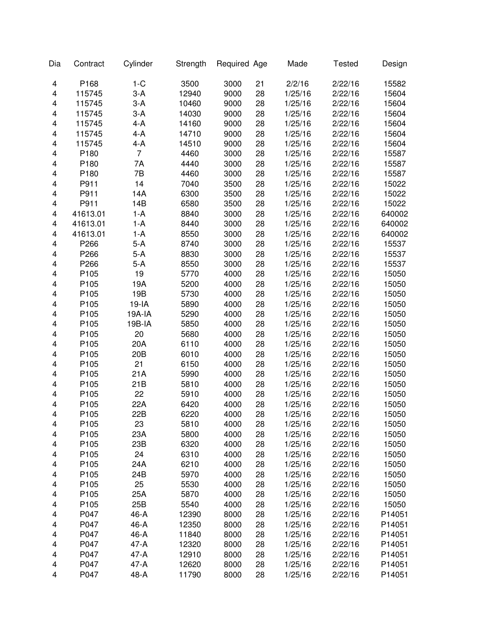| Dia                     | Contract         | Cylinder        | Strength | Required Age |    | Made    | <b>Tested</b> | Design |
|-------------------------|------------------|-----------------|----------|--------------|----|---------|---------------|--------|
| 4                       | P168             | $1-C$           | 3500     | 3000         | 21 | 2/2/16  | 2/22/16       | 15582  |
| 4                       | 115745           | $3-A$           | 12940    | 9000         | 28 | 1/25/16 | 2/22/16       | 15604  |
| 4                       | 115745           | $3-A$           | 10460    | 9000         | 28 | 1/25/16 | 2/22/16       | 15604  |
| 4                       | 115745           | $3-A$           | 14030    | 9000         | 28 | 1/25/16 | 2/22/16       | 15604  |
| 4                       | 115745           | 4-A             | 14160    | 9000         | 28 | 1/25/16 | 2/22/16       | 15604  |
| $\overline{\mathbf{4}}$ | 115745           | 4-A             | 14710    | 9000         | 28 | 1/25/16 | 2/22/16       | 15604  |
| 4                       | 115745           | 4-A             | 14510    | 9000         | 28 | 1/25/16 | 2/22/16       | 15604  |
| 4                       | P180             | $\overline{7}$  | 4460     | 3000         | 28 | 1/25/16 | 2/22/16       | 15587  |
| 4                       | P180             | 7Α              | 4440     | 3000         | 28 | 1/25/16 | 2/22/16       | 15587  |
| 4                       | P180             | 7B              | 4460     | 3000         | 28 | 1/25/16 | 2/22/16       | 15587  |
| 4                       | P911             | 14              | 7040     | 3500         | 28 | 1/25/16 | 2/22/16       | 15022  |
| 4                       | P911             | 14A             | 6300     | 3500         | 28 | 1/25/16 | 2/22/16       | 15022  |
| $\overline{\mathbf{4}}$ | P911             | 14B             | 6580     | 3500         | 28 | 1/25/16 | 2/22/16       | 15022  |
| $\overline{\mathbf{4}}$ | 41613.01         | $1-A$           | 8840     | 3000         | 28 | 1/25/16 | 2/22/16       | 640002 |
| $\overline{\mathbf{4}}$ | 41613.01         | $1-A$           | 8440     | 3000         | 28 | 1/25/16 | 2/22/16       | 640002 |
| $\overline{\mathbf{4}}$ | 41613.01         | 1-A             | 8550     | 3000         | 28 | 1/25/16 | 2/22/16       | 640002 |
| 4                       | P266             | $5-A$           | 8740     | 3000         | 28 | 1/25/16 | 2/22/16       | 15537  |
| 4                       | P266             | 5-A             | 8830     | 3000         | 28 | 1/25/16 | 2/22/16       | 15537  |
| 4                       | P266             | $5-A$           | 8550     | 3000         | 28 | 1/25/16 | 2/22/16       | 15537  |
| 4                       | P105             | 19              | 5770     | 4000         | 28 | 1/25/16 | 2/22/16       | 15050  |
| 4                       | P105             | 19A             | 5200     | 4000         | 28 | 1/25/16 | 2/22/16       | 15050  |
| $\overline{\mathbf{4}}$ | P105             | 19B             | 5730     | 4000         | 28 | 1/25/16 | 2/22/16       | 15050  |
| 4                       | P105             | $19-IA$         | 5890     | 4000         | 28 | 1/25/16 | 2/22/16       | 15050  |
| 4                       | P105             | 19A-IA          | 5290     | 4000         | 28 | 1/25/16 | 2/22/16       | 15050  |
| 4                       | P105             | 19B-IA          | 5850     | 4000         | 28 | 1/25/16 | 2/22/16       | 15050  |
| $\overline{\mathbf{4}}$ | P105             | 20              | 5680     | 4000         | 28 | 1/25/16 | 2/22/16       | 15050  |
| $\overline{\mathbf{4}}$ | P105             | 20A             | 6110     | 4000         | 28 | 1/25/16 | 2/22/16       | 15050  |
| 4                       | P105             | 20 <sub>B</sub> | 6010     | 4000         | 28 | 1/25/16 | 2/22/16       | 15050  |
| $\overline{\mathbf{4}}$ | P105             | 21              | 6150     | 4000         | 28 | 1/25/16 | 2/22/16       | 15050  |
| $\overline{\mathbf{4}}$ | P105             | 21A             | 5990     | 4000         | 28 | 1/25/16 | 2/22/16       | 15050  |
| $\overline{\mathbf{4}}$ | P105             | 21B             | 5810     | 4000         | 28 | 1/25/16 | 2/22/16       | 15050  |
| $\overline{\mathbf{4}}$ | P105             | 22              | 5910     | 4000         | 28 | 1/25/16 | 2/22/16       | 15050  |
| $\overline{\mathbf{4}}$ | P105             | 22A             | 6420     | 4000         | 28 | 1/25/16 | 2/22/16       | 15050  |
| 4                       | P105             | 22B             | 6220     | 4000         | 28 | 1/25/16 | 2/22/16       | 15050  |
| 4                       | P <sub>105</sub> | 23              | 5810     | 4000         | 28 | 1/25/16 | 2/22/16       | 15050  |
| 4                       | P105             | 23A             | 5800     | 4000         | 28 | 1/25/16 | 2/22/16       | 15050  |
| 4                       | P105             | 23B             | 6320     | 4000         | 28 | 1/25/16 | 2/22/16       | 15050  |
| 4                       | P105             | 24              | 6310     | 4000         | 28 | 1/25/16 | 2/22/16       | 15050  |
| 4                       | P105             | 24A             | 6210     | 4000         | 28 | 1/25/16 | 2/22/16       | 15050  |
| 4                       | P <sub>105</sub> | 24B             | 5970     | 4000         | 28 | 1/25/16 | 2/22/16       | 15050  |
| 4                       | P105             | 25              | 5530     | 4000         | 28 | 1/25/16 | 2/22/16       | 15050  |
| 4                       | P105             | 25A             | 5870     | 4000         | 28 | 1/25/16 | 2/22/16       | 15050  |
| 4                       | P105             | 25B             | 5540     | 4000         | 28 | 1/25/16 | 2/22/16       | 15050  |
| 4                       | P047             | 46-A            | 12390    | 8000         | 28 | 1/25/16 | 2/22/16       | P14051 |
| 4                       | P047             | 46-A            | 12350    | 8000         | 28 | 1/25/16 | 2/22/16       | P14051 |
| 4                       | P047             | 46-A            | 11840    | 8000         | 28 | 1/25/16 | 2/22/16       | P14051 |
| 4                       | P047             | 47-A            | 12320    | 8000         | 28 | 1/25/16 | 2/22/16       | P14051 |
| 4                       | P047             | 47-A            | 12910    | 8000         | 28 | 1/25/16 | 2/22/16       | P14051 |
| 4                       | P047             | 47-A            | 12620    | 8000         | 28 | 1/25/16 | 2/22/16       | P14051 |
| 4                       | P047             | 48-A            | 11790    | 8000         | 28 | 1/25/16 | 2/22/16       | P14051 |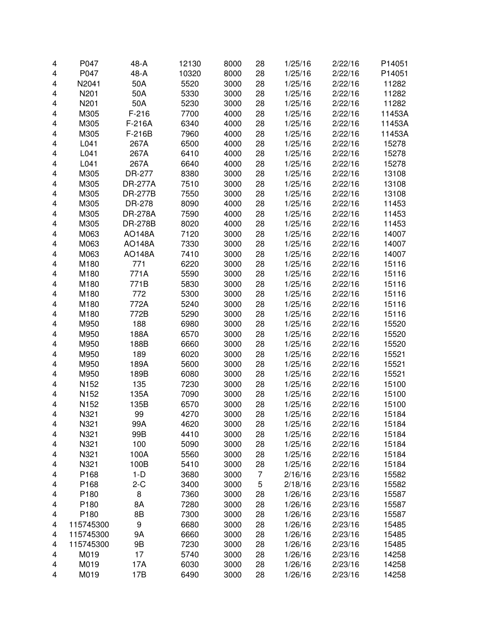| 4                       | P047      | 48-A           | 12130 | 8000 | 28             | 1/25/16            | 2/22/16 | P14051 |
|-------------------------|-----------|----------------|-------|------|----------------|--------------------|---------|--------|
| $\overline{\mathbf{4}}$ | P047      | 48-A           | 10320 | 8000 | 28             | 1/25/16            | 2/22/16 | P14051 |
| 4                       | N2041     | 50A            | 5520  | 3000 | 28             | 1/25/16            | 2/22/16 | 11282  |
| 4                       | N201      | 50A            | 5330  | 3000 | 28             | 1/25/16            | 2/22/16 | 11282  |
| 4                       | N201      | 50A            | 5230  | 3000 | 28             | 1/25/16            | 2/22/16 | 11282  |
| 4                       | M305      | $F-216$        | 7700  | 4000 | 28             | 1/25/16            | 2/22/16 | 11453A |
| 4                       | M305      | F-216A         | 6340  | 4000 | 28             | 1/25/16            | 2/22/16 | 11453A |
| 4                       | M305      | F-216B         | 7960  | 4000 | 28             | 1/25/16            | 2/22/16 | 11453A |
| 4                       | L041      | 267A           | 6500  | 4000 | 28             | 1/25/16            | 2/22/16 | 15278  |
| 4                       | L041      | 267A           | 6410  | 4000 | 28             | 1/25/16            | 2/22/16 | 15278  |
| 4                       | L041      | 267A           | 6640  | 4000 | 28             | 1/25/16            | 2/22/16 | 15278  |
| 4                       | M305      | DR-277         | 8380  | 3000 | 28             | 1/25/16            | 2/22/16 | 13108  |
| 4                       | M305      | <b>DR-277A</b> | 7510  | 3000 | 28             | 1/25/16            | 2/22/16 | 13108  |
| 4                       | M305      | <b>DR-277B</b> | 7550  | 3000 | 28             | 1/25/16            | 2/22/16 | 13108  |
| $\overline{\mathbf{4}}$ | M305      | DR-278         | 8090  | 4000 | 28             | 1/25/16            | 2/22/16 | 11453  |
| 4                       | M305      | <b>DR-278A</b> | 7590  | 4000 | 28             | 1/25/16            | 2/22/16 | 11453  |
| $\overline{\mathbf{4}}$ | M305      | <b>DR-278B</b> | 8020  | 4000 | 28             | 1/25/16            | 2/22/16 | 11453  |
|                         |           | <b>AO148A</b>  | 7120  |      | 28             |                    |         |        |
| $\overline{\mathbf{4}}$ | M063      |                |       | 3000 |                | 1/25/16<br>1/25/16 | 2/22/16 | 14007  |
| 4                       | M063      | <b>AO148A</b>  | 7330  | 3000 | 28             |                    | 2/22/16 | 14007  |
| 4                       | M063      | <b>AO148A</b>  | 7410  | 3000 | 28             | 1/25/16            | 2/22/16 | 14007  |
| 4                       | M180      | 771            | 6220  | 3000 | 28             | 1/25/16            | 2/22/16 | 15116  |
| 4                       | M180      | 771A           | 5590  | 3000 | 28             | 1/25/16            | 2/22/16 | 15116  |
| 4                       | M180      | 771B           | 5830  | 3000 | 28             | 1/25/16            | 2/22/16 | 15116  |
| 4                       | M180      | 772            | 5300  | 3000 | 28             | 1/25/16            | 2/22/16 | 15116  |
| 4                       | M180      | 772A           | 5240  | 3000 | 28             | 1/25/16            | 2/22/16 | 15116  |
| 4                       | M180      | 772B           | 5290  | 3000 | 28             | 1/25/16            | 2/22/16 | 15116  |
| 4                       | M950      | 188            | 6980  | 3000 | 28             | 1/25/16            | 2/22/16 | 15520  |
| 4                       | M950      | 188A           | 6570  | 3000 | 28             | 1/25/16            | 2/22/16 | 15520  |
| 4                       | M950      | 188B           | 6660  | 3000 | 28             | 1/25/16            | 2/22/16 | 15520  |
| 4                       | M950      | 189            | 6020  | 3000 | 28             | 1/25/16            | 2/22/16 | 15521  |
| 4                       | M950      | 189A           | 5600  | 3000 | 28             | 1/25/16            | 2/22/16 | 15521  |
| 4                       | M950      | 189B           | 6080  | 3000 | 28             | 1/25/16            | 2/22/16 | 15521  |
| 4                       | N152      | 135            | 7230  | 3000 | 28             | 1/25/16            | 2/22/16 | 15100  |
| 4                       | N152      | 135A           | 7090  | 3000 | 28             | 1/25/16            | 2/22/16 | 15100  |
| 4                       | N152      | 135B           | 6570  | 3000 | 28             | 1/25/16            | 2/22/16 | 15100  |
| 4                       | N321      | 99             | 4270  | 3000 | 28             | 1/25/16            | 2/22/16 | 15184  |
| 4                       | N321      | 99A            | 4620  | 3000 | 28             | 1/25/16            | 2/22/16 | 15184  |
| 4                       | N321      | 99B            | 4410  | 3000 | 28             | 1/25/16            | 2/22/16 | 15184  |
| 4                       | N321      | 100            | 5090  | 3000 | 28             | 1/25/16            | 2/22/16 | 15184  |
| 4                       | N321      | 100A           | 5560  | 3000 | 28             | 1/25/16            | 2/22/16 | 15184  |
| 4                       | N321      | 100B           | 5410  | 3000 | 28             | 1/25/16            | 2/22/16 | 15184  |
| 4                       | P168      | $1-D$          | 3680  | 3000 | $\overline{7}$ | 2/16/16            | 2/23/16 | 15582  |
| 4                       | P168      | $2-C$          | 3400  | 3000 | 5              | 2/18/16            | 2/23/16 | 15582  |
| 4                       | P180      | 8              | 7360  | 3000 | 28             | 1/26/16            | 2/23/16 | 15587  |
| 4                       | P180      | 8A             | 7280  | 3000 | 28             | 1/26/16            | 2/23/16 | 15587  |
| 4                       | P180      | 8B             | 7300  | 3000 | 28             | 1/26/16            | 2/23/16 | 15587  |
| 4                       | 115745300 | 9              | 6680  | 3000 | 28             | 1/26/16            | 2/23/16 | 15485  |
| 4                       | 115745300 | <b>9A</b>      | 6660  | 3000 | 28             | 1/26/16            | 2/23/16 | 15485  |
| 4                       | 115745300 | 9B             | 7230  | 3000 | 28             | 1/26/16            | 2/23/16 | 15485  |
| 4                       | M019      | 17             | 5740  | 3000 | 28             | 1/26/16            | 2/23/16 | 14258  |
| 4                       | M019      | 17A            | 6030  | 3000 | 28             | 1/26/16            | 2/23/16 | 14258  |
| 4                       | M019      | 17B            | 6490  | 3000 | 28             | 1/26/16            | 2/23/16 | 14258  |
|                         |           |                |       |      |                |                    |         |        |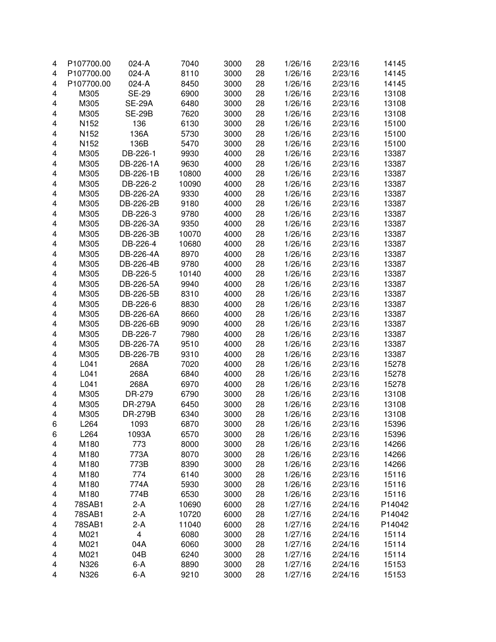| 4                       | P107700.00       | 024-A                   | 7040  | 3000 | 28 | 1/26/16 | 2/23/16 | 14145  |
|-------------------------|------------------|-------------------------|-------|------|----|---------|---------|--------|
| 4                       | P107700.00       | 024-A                   | 8110  | 3000 | 28 | 1/26/16 | 2/23/16 | 14145  |
| 4                       | P107700.00       | 024-A                   | 8450  | 3000 | 28 | 1/26/16 | 2/23/16 | 14145  |
| 4                       | M305             | <b>SE-29</b>            | 6900  | 3000 | 28 | 1/26/16 | 2/23/16 | 13108  |
| 4                       | M305             | <b>SE-29A</b>           | 6480  | 3000 | 28 | 1/26/16 | 2/23/16 | 13108  |
| 4                       | M305             | <b>SE-29B</b>           | 7620  | 3000 | 28 | 1/26/16 | 2/23/16 | 13108  |
| 4                       | N <sub>152</sub> | 136                     | 6130  | 3000 | 28 | 1/26/16 | 2/23/16 | 15100  |
| 4                       | N <sub>152</sub> | 136A                    | 5730  | 3000 | 28 | 1/26/16 | 2/23/16 | 15100  |
| 4                       | N152             | 136B                    | 5470  | 3000 | 28 | 1/26/16 | 2/23/16 | 15100  |
| 4                       | M305             | DB-226-1                | 9930  | 4000 | 28 | 1/26/16 | 2/23/16 | 13387  |
| 4                       | M305             | DB-226-1A               | 9630  | 4000 | 28 | 1/26/16 | 2/23/16 | 13387  |
| 4                       | M305             | DB-226-1B               | 10800 | 4000 | 28 | 1/26/16 | 2/23/16 | 13387  |
| 4                       | M305             | DB-226-2                | 10090 | 4000 | 28 | 1/26/16 | 2/23/16 | 13387  |
| 4                       | M305             | DB-226-2A               | 9330  | 4000 | 28 | 1/26/16 | 2/23/16 | 13387  |
| 4                       | M305             | DB-226-2B               | 9180  | 4000 | 28 | 1/26/16 | 2/23/16 | 13387  |
| 4                       | M305             | DB-226-3                | 9780  | 4000 | 28 | 1/26/16 | 2/23/16 | 13387  |
| 4                       | M305             | DB-226-3A               | 9350  | 4000 | 28 | 1/26/16 | 2/23/16 | 13387  |
| $\overline{\mathbf{4}}$ | M305             | DB-226-3B               | 10070 | 4000 | 28 | 1/26/16 | 2/23/16 | 13387  |
| $\overline{\mathbf{4}}$ | M305             | DB-226-4                | 10680 | 4000 | 28 | 1/26/16 | 2/23/16 | 13387  |
|                         | M305             | DB-226-4A               | 8970  | 4000 |    | 1/26/16 | 2/23/16 |        |
| 4                       |                  |                         |       |      | 28 |         | 2/23/16 | 13387  |
| 4                       | M305             | DB-226-4B               | 9780  | 4000 | 28 | 1/26/16 |         | 13387  |
| 4                       | M305             | DB-226-5                | 10140 | 4000 | 28 | 1/26/16 | 2/23/16 | 13387  |
| 4                       | M305             | DB-226-5A               | 9940  | 4000 | 28 | 1/26/16 | 2/23/16 | 13387  |
| 4                       | M305             | DB-226-5B               | 8310  | 4000 | 28 | 1/26/16 | 2/23/16 | 13387  |
| 4                       | M305             | DB-226-6                | 8830  | 4000 | 28 | 1/26/16 | 2/23/16 | 13387  |
| 4                       | M305             | DB-226-6A               | 8660  | 4000 | 28 | 1/26/16 | 2/23/16 | 13387  |
| $\overline{\mathbf{4}}$ | M305             | DB-226-6B               | 9090  | 4000 | 28 | 1/26/16 | 2/23/16 | 13387  |
| $\overline{\mathbf{4}}$ | M305             | DB-226-7                | 7980  | 4000 | 28 | 1/26/16 | 2/23/16 | 13387  |
| 4                       | M305             | DB-226-7A               | 9510  | 4000 | 28 | 1/26/16 | 2/23/16 | 13387  |
| 4                       | M305             | DB-226-7B               | 9310  | 4000 | 28 | 1/26/16 | 2/23/16 | 13387  |
| 4                       | L041             | 268A                    | 7020  | 4000 | 28 | 1/26/16 | 2/23/16 | 15278  |
| 4                       | L041             | 268A                    | 6840  | 4000 | 28 | 1/26/16 | 2/23/16 | 15278  |
| 4                       | L041             | 268A                    | 6970  | 4000 | 28 | 1/26/16 | 2/23/16 | 15278  |
| 4                       | M305             | DR-279                  | 6790  | 3000 | 28 | 1/26/16 | 2/23/16 | 13108  |
| 4                       | M305             | <b>DR-279A</b>          | 6450  | 3000 | 28 | 1/26/16 | 2/23/16 | 13108  |
| 4                       | M305             | <b>DR-279B</b>          | 6340  | 3000 | 28 | 1/26/16 | 2/23/16 | 13108  |
| 6                       | L <sub>264</sub> | 1093                    | 6870  | 3000 | 28 | 1/26/16 | 2/23/16 | 15396  |
| 6                       | L264             | 1093A                   | 6570  | 3000 | 28 | 1/26/16 | 2/23/16 | 15396  |
| 4                       | M180             | 773                     | 8000  | 3000 | 28 | 1/26/16 | 2/23/16 | 14266  |
| 4                       | M180             | 773A                    | 8070  | 3000 | 28 | 1/26/16 | 2/23/16 | 14266  |
| 4                       | M180             | 773B                    | 8390  | 3000 | 28 | 1/26/16 | 2/23/16 | 14266  |
| 4                       | M180             | 774                     | 6140  | 3000 | 28 | 1/26/16 | 2/23/16 | 15116  |
| 4                       | M180             | 774A                    | 5930  | 3000 | 28 | 1/26/16 | 2/23/16 | 15116  |
| 4                       | M180             | 774B                    | 6530  | 3000 | 28 | 1/26/16 | 2/23/16 | 15116  |
| 4                       | 78SAB1           | $2-A$                   | 10690 | 6000 | 28 | 1/27/16 | 2/24/16 | P14042 |
| 4                       | 78SAB1           | $2-A$                   | 10720 | 6000 | 28 | 1/27/16 | 2/24/16 | P14042 |
| 4                       | 78SAB1           | $2-A$                   | 11040 | 6000 | 28 | 1/27/16 | 2/24/16 | P14042 |
| 4                       | M021             | $\overline{\mathbf{4}}$ | 6080  | 3000 | 28 | 1/27/16 | 2/24/16 | 15114  |
| 4                       | M021             | 04A                     | 6060  | 3000 | 28 | 1/27/16 | 2/24/16 | 15114  |
| 4                       | M021             | 04B                     | 6240  | 3000 | 28 | 1/27/16 | 2/24/16 | 15114  |
| 4                       | N326             | $6-A$                   | 8890  | 3000 | 28 | 1/27/16 | 2/24/16 | 15153  |
| 4                       | N326             | $6-A$                   | 9210  | 3000 | 28 | 1/27/16 | 2/24/16 | 15153  |
|                         |                  |                         |       |      |    |         |         |        |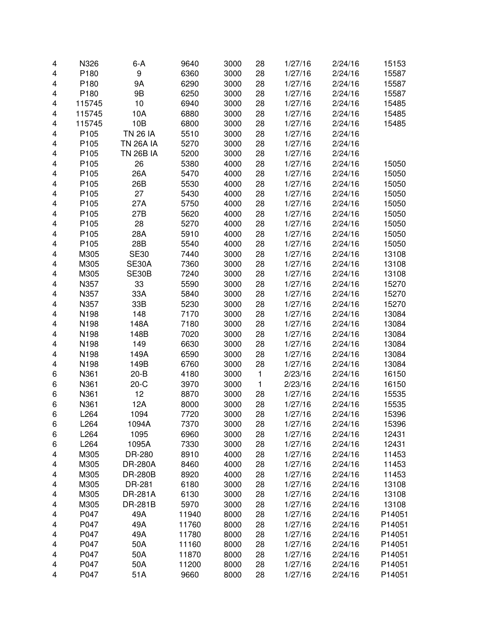| 4                       | N326             | $6-A$            | 9640  | 3000 | 28           | 1/27/16 | 2/24/16 | 15153  |
|-------------------------|------------------|------------------|-------|------|--------------|---------|---------|--------|
| 4                       | P180             | 9                | 6360  | 3000 | 28           | 1/27/16 | 2/24/16 | 15587  |
| 4                       | P180             | <b>9A</b>        | 6290  | 3000 | 28           | 1/27/16 | 2/24/16 | 15587  |
| 4                       | P180             | 9B               | 6250  | 3000 | 28           | 1/27/16 | 2/24/16 | 15587  |
| 4                       | 115745           | 10               | 6940  | 3000 | 28           | 1/27/16 | 2/24/16 | 15485  |
| 4                       | 115745           | 10A              | 6880  | 3000 | 28           | 1/27/16 | 2/24/16 | 15485  |
| 4                       | 115745           | 10B              | 6800  | 3000 | 28           | 1/27/16 | 2/24/16 | 15485  |
| 4                       | P105             | <b>TN 26 IA</b>  | 5510  | 3000 | 28           | 1/27/16 | 2/24/16 |        |
| 4                       | P105             | <b>TN 26A IA</b> | 5270  | 3000 | 28           | 1/27/16 | 2/24/16 |        |
| 4                       | P105             | <b>TN 26B IA</b> | 5200  | 3000 | 28           | 1/27/16 | 2/24/16 |        |
| 4                       | P105             | 26               | 5380  | 4000 | 28           | 1/27/16 | 2/24/16 | 15050  |
| 4                       | P105             | 26A              | 5470  | 4000 | 28           | 1/27/16 | 2/24/16 | 15050  |
| 4                       | P105             | 26B              | 5530  | 4000 | 28           | 1/27/16 | 2/24/16 | 15050  |
| 4                       | P105             | 27               | 5430  | 4000 | 28           | 1/27/16 | 2/24/16 | 15050  |
| 4                       | P105             | 27A              | 5750  | 4000 | 28           | 1/27/16 | 2/24/16 | 15050  |
| $\overline{\mathbf{4}}$ | P105             | 27B              | 5620  | 4000 | 28           | 1/27/16 | 2/24/16 | 15050  |
| 4                       | P105             | 28               | 5270  | 4000 | 28           | 1/27/16 | 2/24/16 | 15050  |
| 4                       | P105             | 28A              | 5910  | 4000 | 28           | 1/27/16 | 2/24/16 | 15050  |
| 4                       | P105             | 28B              | 5540  | 4000 | 28           | 1/27/16 | 2/24/16 | 15050  |
| 4                       | M305             | <b>SE30</b>      | 7440  | 3000 | 28           | 1/27/16 | 2/24/16 | 13108  |
| 4                       | M305             | SE30A            | 7360  | 3000 | 28           | 1/27/16 | 2/24/16 | 13108  |
| 4                       | M305             | SE30B            | 7240  | 3000 | 28           | 1/27/16 | 2/24/16 | 13108  |
| 4                       | N357             | 33               | 5590  | 3000 | 28           | 1/27/16 | 2/24/16 | 15270  |
| 4                       | N357             | 33A              | 5840  | 3000 | 28           | 1/27/16 | 2/24/16 | 15270  |
| 4                       | N357             | 33B              | 5230  | 3000 | 28           | 1/27/16 | 2/24/16 | 15270  |
| 4                       | N198             | 148              | 7170  | 3000 | 28           | 1/27/16 | 2/24/16 | 13084  |
| 4                       | N198             | 148A             | 7180  | 3000 | 28           | 1/27/16 | 2/24/16 | 13084  |
| 4                       | N198             | 148B             | 7020  | 3000 | 28           | 1/27/16 | 2/24/16 | 13084  |
| 4                       | N198             | 149              | 6630  | 3000 | 28           | 1/27/16 | 2/24/16 | 13084  |
| 4                       | N198             | 149A             | 6590  | 3000 | 28           | 1/27/16 | 2/24/16 | 13084  |
| 4                       | N198             | 149B             | 6760  | 3000 | 28           | 1/27/16 | 2/24/16 | 13084  |
| 6                       | N361             | $20 - B$         | 4180  | 3000 | $\mathbf{1}$ | 2/23/16 | 2/24/16 | 16150  |
| 6                       | N361             | $20-C$           | 3970  | 3000 | $\mathbf{1}$ | 2/23/16 | 2/24/16 | 16150  |
| 6                       | N361             | 12               | 8870  | 3000 | 28           | 1/27/16 | 2/24/16 | 15535  |
| 6                       | N361             | 12A              | 8000  | 3000 | 28           | 1/27/16 | 2/24/16 | 15535  |
| 6                       | L264             | 1094             | 7720  | 3000 | 28           | 1/27/16 | 2/24/16 | 15396  |
| 6                       | L <sub>264</sub> | 1094A            | 7370  | 3000 | 28           | 1/27/16 | 2/24/16 | 15396  |
| 6                       | L264             | 1095             | 6960  | 3000 | 28           | 1/27/16 | 2/24/16 | 12431  |
| 6                       | L264             | 1095A            | 7330  | 3000 | 28           | 1/27/16 | 2/24/16 | 12431  |
| 4                       | M305             | DR-280           | 8910  | 4000 | 28           | 1/27/16 | 2/24/16 | 11453  |
| 4                       | M305             | <b>DR-280A</b>   | 8460  | 4000 | 28           | 1/27/16 | 2/24/16 | 11453  |
| 4                       | M305             | <b>DR-280B</b>   | 8920  | 4000 | 28           | 1/27/16 | 2/24/16 | 11453  |
| 4                       | M305             | DR-281           | 6180  | 3000 | 28           | 1/27/16 | 2/24/16 | 13108  |
| 4                       | M305             | <b>DR-281A</b>   | 6130  | 3000 | 28           | 1/27/16 | 2/24/16 | 13108  |
| 4                       | M305             | DR-281B          | 5970  | 3000 | 28           | 1/27/16 | 2/24/16 | 13108  |
| 4                       | P047             | 49A              | 11940 | 8000 | 28           | 1/27/16 | 2/24/16 | P14051 |
| 4                       | P047             | 49A              | 11760 | 8000 | 28           | 1/27/16 | 2/24/16 | P14051 |
| 4                       | P047             | 49A              | 11780 | 8000 | 28           | 1/27/16 | 2/24/16 | P14051 |
| 4                       | P047             | 50A              | 11160 | 8000 | 28           | 1/27/16 | 2/24/16 | P14051 |
| 4                       | P047             | 50A              | 11870 | 8000 | 28           | 1/27/16 | 2/24/16 | P14051 |
| 4                       | P047             | 50A              | 11200 | 8000 | 28           | 1/27/16 | 2/24/16 | P14051 |
| 4                       | P047             | 51A              | 9660  | 8000 | 28           | 1/27/16 | 2/24/16 | P14051 |
|                         |                  |                  |       |      |              |         |         |        |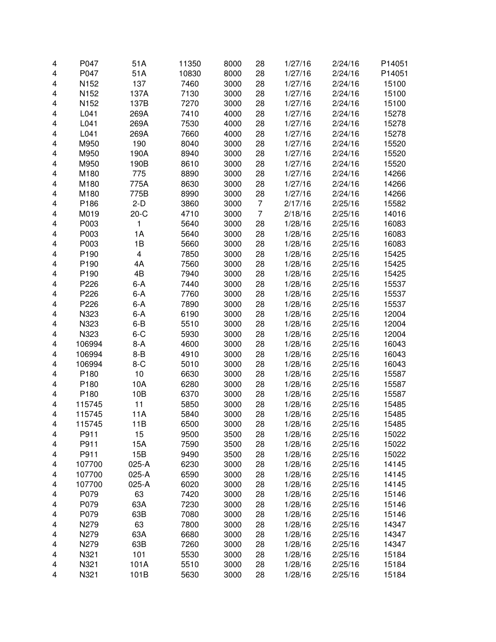| 4 | P047             | 51A     | 11350 | 8000 | 28             | 1/27/16 | 2/24/16 | P14051 |
|---|------------------|---------|-------|------|----------------|---------|---------|--------|
| 4 | P047             | 51A     | 10830 | 8000 | 28             | 1/27/16 | 2/24/16 | P14051 |
| 4 | N152             | 137     | 7460  | 3000 | 28             | 1/27/16 | 2/24/16 | 15100  |
| 4 | N152             | 137A    | 7130  | 3000 | 28             | 1/27/16 | 2/24/16 | 15100  |
| 4 | N <sub>152</sub> | 137B    | 7270  | 3000 | 28             | 1/27/16 | 2/24/16 | 15100  |
| 4 | L041             | 269A    | 7410  | 4000 | 28             | 1/27/16 | 2/24/16 | 15278  |
| 4 | L041             | 269A    | 7530  | 4000 | 28             | 1/27/16 | 2/24/16 | 15278  |
| 4 | L041             | 269A    | 7660  | 4000 | 28             | 1/27/16 | 2/24/16 | 15278  |
| 4 | M950             | 190     | 8040  | 3000 | 28             | 1/27/16 | 2/24/16 | 15520  |
| 4 | M950             | 190A    | 8940  | 3000 | 28             | 1/27/16 | 2/24/16 | 15520  |
| 4 | M950             | 190B    | 8610  | 3000 | 28             | 1/27/16 | 2/24/16 | 15520  |
| 4 | M180             | 775     | 8890  | 3000 | 28             | 1/27/16 | 2/24/16 | 14266  |
| 4 | M180             | 775A    | 8630  | 3000 | 28             | 1/27/16 | 2/24/16 | 14266  |
| 4 | M180             | 775B    | 8990  | 3000 | 28             | 1/27/16 | 2/24/16 | 14266  |
| 4 | P186             | $2-D$   | 3860  | 3000 | 7              | 2/17/16 | 2/25/16 | 15582  |
| 4 | M019             | $20-C$  | 4710  | 3000 | $\overline{7}$ | 2/18/16 | 2/25/16 | 14016  |
| 4 | P003             | 1       | 5640  | 3000 | 28             | 1/28/16 | 2/25/16 | 16083  |
| 4 | P003             | 1A      | 5640  | 3000 | 28             | 1/28/16 | 2/25/16 | 16083  |
| 4 | P003             | 1B      | 5660  | 3000 | 28             | 1/28/16 | 2/25/16 | 16083  |
|   | P190             | 4       | 7850  |      |                | 1/28/16 |         |        |
| 4 |                  |         |       | 3000 | 28             |         | 2/25/16 | 15425  |
| 4 | P190             | 4A      | 7560  | 3000 | 28             | 1/28/16 | 2/25/16 | 15425  |
| 4 | P <sub>190</sub> | 4B      | 7940  | 3000 | 28             | 1/28/16 | 2/25/16 | 15425  |
| 4 | P226             | $6 - A$ | 7440  | 3000 | 28             | 1/28/16 | 2/25/16 | 15537  |
| 4 | P226             | $6-A$   | 7760  | 3000 | 28             | 1/28/16 | 2/25/16 | 15537  |
| 4 | P226             | $6 - A$ | 7890  | 3000 | 28             | 1/28/16 | 2/25/16 | 15537  |
| 4 | N323             | 6-A     | 6190  | 3000 | 28             | 1/28/16 | 2/25/16 | 12004  |
| 4 | N323             | $6 - B$ | 5510  | 3000 | 28             | 1/28/16 | 2/25/16 | 12004  |
| 4 | N323             | $6 - C$ | 5930  | 3000 | 28             | 1/28/16 | 2/25/16 | 12004  |
| 4 | 106994           | $8-A$   | 4600  | 3000 | 28             | 1/28/16 | 2/25/16 | 16043  |
| 4 | 106994           | $8 - B$ | 4910  | 3000 | 28             | 1/28/16 | 2/25/16 | 16043  |
| 4 | 106994           | $8-C$   | 5010  | 3000 | 28             | 1/28/16 | 2/25/16 | 16043  |
| 4 | P180             | 10      | 6630  | 3000 | 28             | 1/28/16 | 2/25/16 | 15587  |
| 4 | P180             | 10A     | 6280  | 3000 | 28             | 1/28/16 | 2/25/16 | 15587  |
| 4 | P180             | 10B     | 6370  | 3000 | 28             | 1/28/16 | 2/25/16 | 15587  |
| 4 | 115745           | 11      | 5850  | 3000 | 28             | 1/28/16 | 2/25/16 | 15485  |
| 4 | 115745           | 11A     | 5840  | 3000 | 28             | 1/28/16 | 2/25/16 | 15485  |
| 4 | 115745           | 11B     | 6500  | 3000 | 28             | 1/28/16 | 2/25/16 | 15485  |
| 4 | P911             | 15      | 9500  | 3500 | 28             | 1/28/16 | 2/25/16 | 15022  |
| 4 | P911             | 15A     | 7590  | 3500 | 28             | 1/28/16 | 2/25/16 | 15022  |
| 4 | P911             | 15B     | 9490  | 3500 | 28             | 1/28/16 | 2/25/16 | 15022  |
| 4 | 107700           | 025-A   | 6230  | 3000 | 28             | 1/28/16 | 2/25/16 | 14145  |
| 4 | 107700           | 025-A   | 6590  | 3000 | 28             | 1/28/16 | 2/25/16 | 14145  |
| 4 | 107700           | 025-A   | 6020  | 3000 | 28             | 1/28/16 | 2/25/16 | 14145  |
| 4 | P079             | 63      | 7420  | 3000 | 28             | 1/28/16 | 2/25/16 | 15146  |
| 4 | P079             | 63A     | 7230  | 3000 | 28             | 1/28/16 | 2/25/16 | 15146  |
| 4 | P079             | 63B     | 7080  | 3000 | 28             | 1/28/16 | 2/25/16 | 15146  |
| 4 | N279             | 63      | 7800  | 3000 | 28             | 1/28/16 | 2/25/16 | 14347  |
| 4 | N279             | 63A     | 6680  | 3000 | 28             | 1/28/16 | 2/25/16 | 14347  |
|   | N279             | 63B     | 7260  | 3000 |                |         |         | 14347  |
| 4 |                  |         |       |      | 28             | 1/28/16 | 2/25/16 |        |
| 4 | N321             | 101     | 5530  | 3000 | 28             | 1/28/16 | 2/25/16 | 15184  |
| 4 | N321             | 101A    | 5510  | 3000 | 28             | 1/28/16 | 2/25/16 | 15184  |
| 4 | N321             | 101B    | 5630  | 3000 | 28             | 1/28/16 | 2/25/16 | 15184  |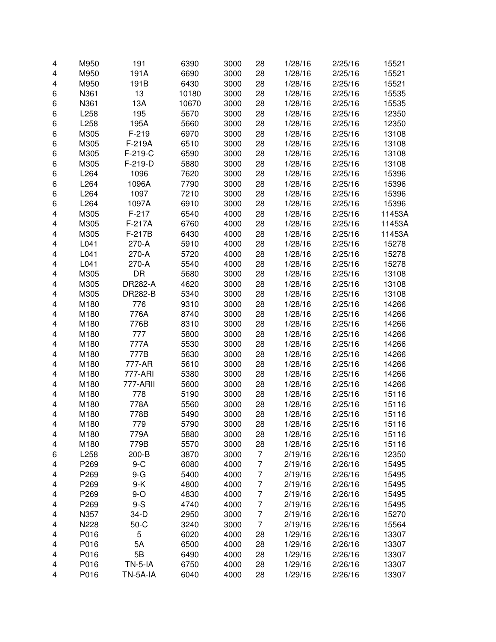| 4                       | M950             | 191            | 6390         | 3000 | 28             | 1/28/16            | 2/25/16            | 15521          |
|-------------------------|------------------|----------------|--------------|------|----------------|--------------------|--------------------|----------------|
| 4                       | M950             | 191A           | 6690         | 3000 | 28             | 1/28/16            | 2/25/16            | 15521          |
| 4                       | M950             | 191B           | 6430         | 3000 | 28             | 1/28/16            | 2/25/16            | 15521          |
| 6                       | N361             | 13             | 10180        | 3000 | 28             | 1/28/16            | 2/25/16            | 15535          |
| 6                       | N361             | 13A            | 10670        | 3000 | 28             | 1/28/16            | 2/25/16            | 15535          |
| 6                       | L258             | 195            | 5670         | 3000 | 28             | 1/28/16            | 2/25/16            | 12350          |
| 6                       | L258             | 195A           | 5660         | 3000 | 28             | 1/28/16            | 2/25/16            | 12350          |
| 6                       | M305             | $F-219$        | 6970         | 3000 | 28             | 1/28/16            | 2/25/16            | 13108          |
| 6                       | M305             | F-219A         | 6510         | 3000 | 28             | 1/28/16            | 2/25/16            | 13108          |
| 6                       | M305             | $F-219-C$      | 6590         | 3000 | 28             | 1/28/16            | 2/25/16            | 13108          |
| 6                       | M305             | F-219-D        | 5880         | 3000 | 28             | 1/28/16            | 2/25/16            | 13108          |
| 6                       | L264             | 1096           | 7620         | 3000 | 28             | 1/28/16            | 2/25/16            | 15396          |
| 6                       | L264             | 1096A          | 7790         | 3000 | 28             | 1/28/16            | 2/25/16            | 15396          |
| 6                       | L264             | 1097           | 7210         | 3000 | 28             | 1/28/16            | 2/25/16            | 15396          |
| 6                       | L264             | 1097A          | 6910         | 3000 | 28             | 1/28/16            | 2/25/16            | 15396          |
| 4                       | M305             | $F-217$        | 6540         | 4000 | 28             | 1/28/16            | 2/25/16            | 11453A         |
| 4                       | M305             | F-217A         | 6760         | 4000 | 28             | 1/28/16            | 2/25/16            | 11453A         |
| 4                       | M305             | F-217B         | 6430         | 4000 | 28             | 1/28/16            | 2/25/16            | 11453A         |
| 4                       | L041             | 270-A          | 5910         | 4000 | 28             | 1/28/16            | 2/25/16            | 15278          |
| 4                       | L041             | 270-A          | 5720         | 4000 | 28             | 1/28/16            | 2/25/16            | 15278          |
| 4                       | L041             | 270-A          | 5540         | 4000 | 28             | 1/28/16            | 2/25/16            | 15278          |
| 4                       | M305             | DR             | 5680         | 3000 | 28             | 1/28/16            | 2/25/16            | 13108          |
| 4                       | M305             | <b>DR282-A</b> | 4620         | 3000 | 28             | 1/28/16            | 2/25/16            | 13108          |
| 4                       | M305             | DR282-B        | 5340         | 3000 | 28             | 1/28/16            | 2/25/16            | 13108          |
| 4                       | M180             | 776            | 9310         | 3000 | 28             | 1/28/16            | 2/25/16            | 14266          |
| 4                       | M180             | 776A           | 8740         | 3000 | 28             | 1/28/16            | 2/25/16            | 14266          |
| 4                       | M180             | 776B           | 8310         | 3000 | 28             | 1/28/16            | 2/25/16            | 14266          |
| 4                       | M180             | 777            | 5800         | 3000 | 28             | 1/28/16            | 2/25/16            | 14266          |
| 4                       | M180             | 777A           | 5530         | 3000 | 28             | 1/28/16            | 2/25/16            | 14266          |
| 4                       | M180             | 777B           | 5630         | 3000 | 28             | 1/28/16            | 2/25/16            | 14266          |
|                         |                  | 777-AR         | 5610         | 3000 | 28             |                    |                    |                |
| 4                       | M180<br>M180     | 777-ARI        | 5380         | 3000 | 28             | 1/28/16            | 2/25/16            | 14266<br>14266 |
| 4                       |                  | 777-ARII       |              |      |                | 1/28/16<br>1/28/16 | 2/25/16            |                |
| 4                       | M180<br>M180     |                | 5600         | 3000 | 28             |                    | 2/25/16<br>2/25/16 | 14266          |
| 4                       |                  | 778            | 5190         | 3000 | 28             | 1/28/16            |                    | 15116          |
| 4                       | M180             | 778A           | 5560<br>5490 | 3000 | 28             | 1/28/16            | 2/25/16            | 15116          |
| 4                       | M180             | 778B           |              | 3000 | 28             | 1/28/16            | 2/25/16            | 15116          |
| 4                       | M180             | 779            | 5790         | 3000 | 28             | 1/28/16            | 2/25/16            | 15116          |
| 4                       | M180             | 779A           | 5880         | 3000 | 28             | 1/28/16            | 2/25/16            | 15116          |
| 4                       | M180             | 779B           | 5570         | 3000 | 28             | 1/28/16            | 2/25/16            | 15116          |
| 6                       | L258             | 200-B          | 3870         | 3000 | $\overline{7}$ | 2/19/16            | 2/26/16            | 12350          |
| 4                       | P269             | $9-C$          | 6080         | 4000 | $\overline{7}$ | 2/19/16            | 2/26/16            | 15495          |
| 4                       | P269             | $9-G$          | 5400         | 4000 | $\overline{7}$ | 2/19/16            | 2/26/16            | 15495          |
| 4                       | P269             | $9-K$          | 4800         | 4000 | 7              | 2/19/16            | 2/26/16            | 15495          |
| 4                       | P269             | $9-O$          | 4830         | 4000 | $\overline{7}$ | 2/19/16            | 2/26/16            | 15495          |
| 4                       | P <sub>269</sub> | $9-S$          | 4740         | 4000 | 7              | 2/19/16            | 2/26/16            | 15495          |
| $\overline{\mathbf{4}}$ | N357             | 34-D           | 2950         | 3000 | $\overline{7}$ | 2/19/16            | 2/26/16            | 15270          |
| 4                       | N228             | $50-C$         | 3240         | 3000 | $\overline{7}$ | 2/19/16            | 2/26/16            | 15564          |
| 4                       | P016             | 5              | 6020         | 4000 | 28             | 1/29/16            | 2/26/16            | 13307          |
| 4                       | P016             | 5A             | 6500         | 4000 | 28             | 1/29/16            | 2/26/16            | 13307          |
| 4                       | P016             | 5B             | 6490         | 4000 | 28             | 1/29/16            | 2/26/16            | 13307          |
| 4                       | P016             | <b>TN-5-IA</b> | 6750         | 4000 | 28             | 1/29/16            | 2/26/16            | 13307          |
| 4                       | P016             | TN-5A-IA       | 6040         | 4000 | 28             | 1/29/16            | 2/26/16            | 13307          |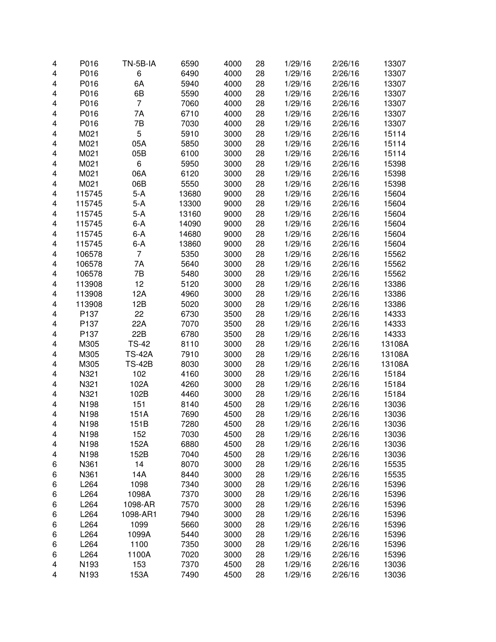| 4                       | P016   | TN-5B-IA      | 6590  | 4000 | 28 | 1/29/16 | 2/26/16 | 13307  |
|-------------------------|--------|---------------|-------|------|----|---------|---------|--------|
| $\overline{\mathbf{4}}$ | P016   | 6             | 6490  | 4000 | 28 | 1/29/16 | 2/26/16 | 13307  |
| 4                       | P016   | 6A            | 5940  | 4000 | 28 | 1/29/16 | 2/26/16 | 13307  |
| 4                       | P016   | 6B            | 5590  | 4000 | 28 | 1/29/16 | 2/26/16 | 13307  |
| 4                       | P016   | 7             | 7060  | 4000 | 28 | 1/29/16 | 2/26/16 | 13307  |
| 4                       | P016   | 7A            | 6710  | 4000 | 28 | 1/29/16 | 2/26/16 | 13307  |
| 4                       | P016   | 7B            | 7030  | 4000 | 28 | 1/29/16 | 2/26/16 | 13307  |
| 4                       | M021   | 5             | 5910  | 3000 | 28 | 1/29/16 | 2/26/16 | 15114  |
| 4                       | M021   | 05A           | 5850  | 3000 | 28 | 1/29/16 | 2/26/16 | 15114  |
| 4                       | M021   | 05B           | 6100  | 3000 | 28 | 1/29/16 | 2/26/16 | 15114  |
| 4                       | M021   | 6             | 5950  | 3000 | 28 | 1/29/16 | 2/26/16 | 15398  |
| 4                       | M021   | 06A           | 6120  | 3000 | 28 | 1/29/16 | 2/26/16 | 15398  |
| 4                       | M021   | 06B           | 5550  | 3000 | 28 | 1/29/16 | 2/26/16 | 15398  |
| 4                       | 115745 | $5-A$         | 13680 | 9000 | 28 | 1/29/16 | 2/26/16 | 15604  |
| 4                       | 115745 | $5-A$         | 13300 | 9000 | 28 | 1/29/16 | 2/26/16 | 15604  |
| 4                       | 115745 | $5-A$         | 13160 | 9000 | 28 | 1/29/16 | 2/26/16 | 15604  |
| 4                       | 115745 | $6-A$         | 14090 | 9000 | 28 | 1/29/16 | 2/26/16 | 15604  |
| 4                       | 115745 | $6-A$         | 14680 | 9000 | 28 | 1/29/16 | 2/26/16 | 15604  |
| 4                       | 115745 | 6-A           | 13860 | 9000 | 28 | 1/29/16 | 2/26/16 | 15604  |
| 4                       | 106578 | 7             | 5350  | 3000 | 28 | 1/29/16 | 2/26/16 | 15562  |
| 4                       | 106578 | 7A            | 5640  | 3000 | 28 | 1/29/16 | 2/26/16 | 15562  |
| 4                       | 106578 | 7B            | 5480  | 3000 | 28 | 1/29/16 | 2/26/16 | 15562  |
| 4                       | 113908 | 12            | 5120  | 3000 | 28 | 1/29/16 | 2/26/16 | 13386  |
| 4                       | 113908 | 12A           | 4960  | 3000 | 28 | 1/29/16 | 2/26/16 | 13386  |
| 4                       | 113908 | 12B           | 5020  | 3000 | 28 | 1/29/16 | 2/26/16 | 13386  |
| 4                       | P137   | 22            | 6730  | 3500 | 28 | 1/29/16 | 2/26/16 | 14333  |
| 4                       | P137   | 22A           | 7070  | 3500 | 28 | 1/29/16 | 2/26/16 | 14333  |
| 4                       | P137   | 22B           | 6780  | 3500 | 28 | 1/29/16 | 2/26/16 | 14333  |
| 4                       | M305   | <b>TS-42</b>  | 8110  | 3000 | 28 | 1/29/16 | 2/26/16 | 13108A |
| 4                       | M305   | <b>TS-42A</b> | 7910  | 3000 | 28 | 1/29/16 | 2/26/16 | 13108A |
| 4                       | M305   | <b>TS-42B</b> | 8030  | 3000 | 28 | 1/29/16 | 2/26/16 | 13108A |
| 4                       | N321   | 102           | 4160  | 3000 | 28 | 1/29/16 | 2/26/16 | 15184  |
| 4                       | N321   | 102A          | 4260  | 3000 | 28 | 1/29/16 | 2/26/16 | 15184  |
| 4                       | N321   | 102B          | 4460  | 3000 | 28 | 1/29/16 | 2/26/16 | 15184  |
| 4                       | N198   | 151           | 8140  | 4500 | 28 | 1/29/16 | 2/26/16 | 13036  |
| 4                       | N198   | 151A          | 7690  | 4500 | 28 | 1/29/16 | 2/26/16 | 13036  |
| 4                       | N198   | 151B          | 7280  | 4500 | 28 | 1/29/16 | 2/26/16 | 13036  |
| 4                       | N198   | 152           | 7030  | 4500 | 28 | 1/29/16 | 2/26/16 | 13036  |
| 4                       | N198   | 152A          | 6880  | 4500 | 28 | 1/29/16 | 2/26/16 | 13036  |
| 4                       | N198   | 152B          | 7040  | 4500 | 28 | 1/29/16 | 2/26/16 | 13036  |
| 6                       | N361   | 14            | 8070  | 3000 | 28 | 1/29/16 | 2/26/16 | 15535  |
| 6                       | N361   | 14A           | 8440  | 3000 | 28 | 1/29/16 | 2/26/16 | 15535  |
| 6                       | L264   | 1098          | 7340  | 3000 | 28 | 1/29/16 | 2/26/16 | 15396  |
| 6                       | L264   | 1098A         | 7370  | 3000 | 28 | 1/29/16 | 2/26/16 | 15396  |
| 6                       | L264   | 1098-AR       | 7570  | 3000 | 28 | 1/29/16 | 2/26/16 | 15396  |
| 6                       | L264   | 1098-AR1      | 7940  | 3000 | 28 | 1/29/16 | 2/26/16 | 15396  |
| 6                       | L264   | 1099          | 5660  | 3000 | 28 | 1/29/16 | 2/26/16 | 15396  |
| 6                       | L264   | 1099A         | 5440  | 3000 | 28 | 1/29/16 | 2/26/16 | 15396  |
| 6                       | L264   | 1100          | 7350  | 3000 | 28 | 1/29/16 | 2/26/16 | 15396  |
| 6                       | L264   | 1100A         | 7020  | 3000 | 28 | 1/29/16 | 2/26/16 | 15396  |
| 4                       | N193   | 153           | 7370  | 4500 | 28 | 1/29/16 | 2/26/16 | 13036  |
| 4                       | N193   | 153A          | 7490  | 4500 | 28 | 1/29/16 | 2/26/16 | 13036  |
|                         |        |               |       |      |    |         |         |        |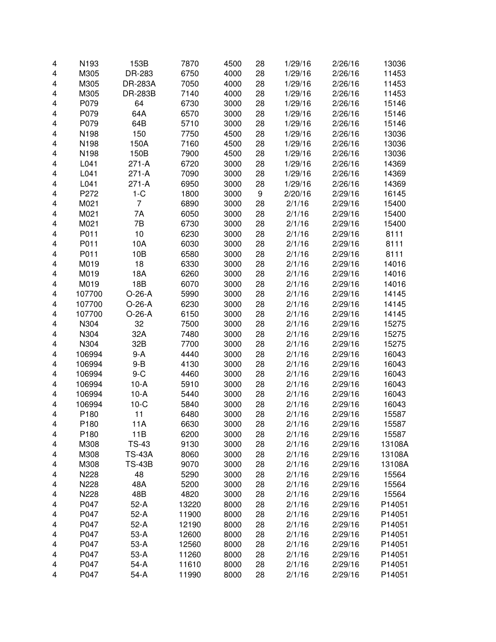| 4                       | N193             | 153B           | 7870  | 4500 | 28 | 1/29/16 | 2/26/16 | 13036  |
|-------------------------|------------------|----------------|-------|------|----|---------|---------|--------|
| $\overline{\mathbf{4}}$ | M305             | DR-283         | 6750  | 4000 | 28 | 1/29/16 | 2/26/16 | 11453  |
| 4                       | M305             | <b>DR-283A</b> | 7050  | 4000 | 28 | 1/29/16 | 2/26/16 | 11453  |
| 4                       | M305             | <b>DR-283B</b> | 7140  | 4000 | 28 | 1/29/16 | 2/26/16 | 11453  |
| 4                       | P079             | 64             | 6730  | 3000 | 28 | 1/29/16 | 2/26/16 | 15146  |
| 4                       | P079             | 64A            | 6570  | 3000 | 28 | 1/29/16 | 2/26/16 | 15146  |
| 4                       | P079             | 64B            | 5710  | 3000 | 28 | 1/29/16 | 2/26/16 | 15146  |
| 4                       | N198             | 150            | 7750  | 4500 | 28 | 1/29/16 | 2/26/16 | 13036  |
| 4                       | N198             | 150A           | 7160  | 4500 | 28 | 1/29/16 | 2/26/16 | 13036  |
| 4                       | N198             | 150B           | 7900  | 4500 | 28 | 1/29/16 | 2/26/16 | 13036  |
| 4                       | L041             | 271-A          | 6720  | 3000 | 28 | 1/29/16 | 2/26/16 | 14369  |
| 4                       | L041             | 271-A          | 7090  | 3000 | 28 | 1/29/16 | 2/26/16 | 14369  |
| 4                       | L041             | $271-A$        | 6950  | 3000 | 28 | 1/29/16 | 2/26/16 | 14369  |
| 4                       | P272             | $1-C$          | 1800  | 3000 | 9  | 2/20/16 | 2/29/16 | 16145  |
| 4                       | M021             | 7              | 6890  | 3000 | 28 | 2/1/16  | 2/29/16 | 15400  |
| 4                       | M021             | 7A             | 6050  | 3000 | 28 | 2/1/16  | 2/29/16 | 15400  |
| 4                       | M021             | 7B             | 6730  | 3000 | 28 | 2/1/16  | 2/29/16 | 15400  |
| 4                       | P011             | 10             | 6230  | 3000 | 28 | 2/1/16  | 2/29/16 | 8111   |
|                         | P011             | 10A            | 6030  |      |    |         | 2/29/16 |        |
| 4                       |                  |                |       | 3000 | 28 | 2/1/16  |         | 8111   |
| 4                       | P011             | 10B            | 6580  | 3000 | 28 | 2/1/16  | 2/29/16 | 8111   |
| 4                       | M019             | 18             | 6330  | 3000 | 28 | 2/1/16  | 2/29/16 | 14016  |
| 4                       | M019             | 18A            | 6260  | 3000 | 28 | 2/1/16  | 2/29/16 | 14016  |
| 4                       | M019             | 18B            | 6070  | 3000 | 28 | 2/1/16  | 2/29/16 | 14016  |
| 4                       | 107700           | $O-26-A$       | 5990  | 3000 | 28 | 2/1/16  | 2/29/16 | 14145  |
| 4                       | 107700           | $O-26-A$       | 6230  | 3000 | 28 | 2/1/16  | 2/29/16 | 14145  |
| $\overline{\mathbf{4}}$ | 107700           | $O-26-A$       | 6150  | 3000 | 28 | 2/1/16  | 2/29/16 | 14145  |
| 4                       | N304             | 32             | 7500  | 3000 | 28 | 2/1/16  | 2/29/16 | 15275  |
| 4                       | N304             | 32A            | 7480  | 3000 | 28 | 2/1/16  | 2/29/16 | 15275  |
| 4                       | N304             | 32B            | 7700  | 3000 | 28 | 2/1/16  | 2/29/16 | 15275  |
| 4                       | 106994           | $9-A$          | 4440  | 3000 | 28 | 2/1/16  | 2/29/16 | 16043  |
| 4                       | 106994           | $9 - B$        | 4130  | 3000 | 28 | 2/1/16  | 2/29/16 | 16043  |
| 4                       | 106994           | $9-C$          | 4460  | 3000 | 28 | 2/1/16  | 2/29/16 | 16043  |
| 4                       | 106994           | $10-A$         | 5910  | 3000 | 28 | 2/1/16  | 2/29/16 | 16043  |
| 4                       | 106994           | $10-A$         | 5440  | 3000 | 28 | 2/1/16  | 2/29/16 | 16043  |
| 4                       | 106994           | $10-C$         | 5840  | 3000 | 28 | 2/1/16  | 2/29/16 | 16043  |
| 4                       | P180             | 11             | 6480  | 3000 | 28 | 2/1/16  | 2/29/16 | 15587  |
| 4                       | P <sub>180</sub> | 11A            | 6630  | 3000 | 28 | 2/1/16  | 2/29/16 | 15587  |
| 4                       | P180             | 11B            | 6200  | 3000 | 28 | 2/1/16  | 2/29/16 | 15587  |
| 4                       | M308             | <b>TS-43</b>   | 9130  | 3000 | 28 | 2/1/16  | 2/29/16 | 13108A |
| 4                       | M308             | <b>TS-43A</b>  | 8060  | 3000 | 28 | 2/1/16  | 2/29/16 | 13108A |
|                         |                  |                |       |      |    |         |         |        |
| 4                       | M308             | <b>TS-43B</b>  | 9070  | 3000 | 28 | 2/1/16  | 2/29/16 | 13108A |
| 4                       | N228             | 48             | 5290  | 3000 | 28 | 2/1/16  | 2/29/16 | 15564  |
| 4                       | N228             | 48A            | 5200  | 3000 | 28 | 2/1/16  | 2/29/16 | 15564  |
| 4                       | N228             | 48B            | 4820  | 3000 | 28 | 2/1/16  | 2/29/16 | 15564  |
| 4                       | P047             | $52-A$         | 13220 | 8000 | 28 | 2/1/16  | 2/29/16 | P14051 |
| $\overline{\mathbf{4}}$ | P047             | $52-A$         | 11900 | 8000 | 28 | 2/1/16  | 2/29/16 | P14051 |
| 4                       | P047             | $52-A$         | 12190 | 8000 | 28 | 2/1/16  | 2/29/16 | P14051 |
| 4                       | P047             | $53-A$         | 12600 | 8000 | 28 | 2/1/16  | 2/29/16 | P14051 |
| 4                       | P047             | $53-A$         | 12560 | 8000 | 28 | 2/1/16  | 2/29/16 | P14051 |
| $\overline{\mathbf{4}}$ | P047             | $53-A$         | 11260 | 8000 | 28 | 2/1/16  | 2/29/16 | P14051 |
| 4                       | P047             | $54-A$         | 11610 | 8000 | 28 | 2/1/16  | 2/29/16 | P14051 |
| 4                       | P047             | 54-A           | 11990 | 8000 | 28 | 2/1/16  | 2/29/16 | P14051 |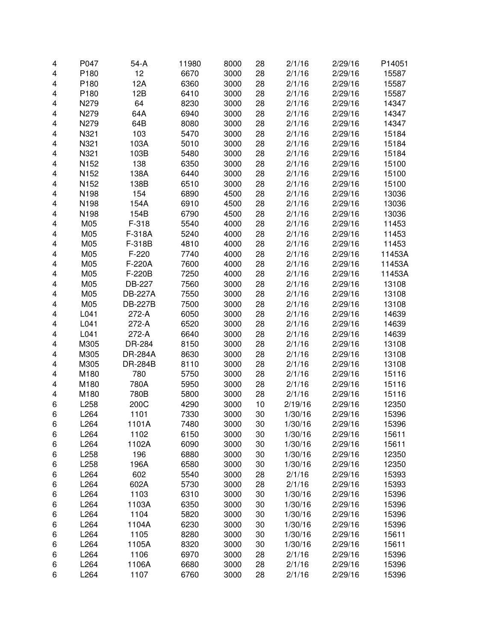| $\overline{\mathbf{4}}$  | P047 | $54-A$         | 11980 | 8000 | 28 | 2/1/16  | 2/29/16 | P14051 |
|--------------------------|------|----------------|-------|------|----|---------|---------|--------|
| 4                        | P180 | 12             | 6670  | 3000 | 28 | 2/1/16  | 2/29/16 | 15587  |
| 4                        | P180 | 12A            | 6360  | 3000 | 28 | 2/1/16  | 2/29/16 | 15587  |
| 4                        | P180 | 12B            | 6410  | 3000 | 28 | 2/1/16  | 2/29/16 | 15587  |
| $\overline{\mathbf{4}}$  | N279 | 64             | 8230  | 3000 | 28 | 2/1/16  | 2/29/16 | 14347  |
| 4                        | N279 | 64A            | 6940  | 3000 | 28 | 2/1/16  | 2/29/16 | 14347  |
| 4                        | N279 | 64B            | 8080  | 3000 | 28 | 2/1/16  | 2/29/16 | 14347  |
| 4                        | N321 | 103            | 5470  | 3000 | 28 | 2/1/16  | 2/29/16 | 15184  |
| 4                        | N321 | 103A           | 5010  | 3000 | 28 | 2/1/16  | 2/29/16 | 15184  |
| 4                        | N321 | 103B           | 5480  | 3000 | 28 | 2/1/16  | 2/29/16 | 15184  |
| 4                        | N152 | 138            | 6350  | 3000 | 28 | 2/1/16  | 2/29/16 | 15100  |
| 4                        | N152 | 138A           | 6440  | 3000 | 28 | 2/1/16  | 2/29/16 | 15100  |
| 4                        | N152 | 138B           | 6510  | 3000 | 28 | 2/1/16  | 2/29/16 | 15100  |
| 4                        | N198 | 154            | 6890  | 4500 | 28 | 2/1/16  | 2/29/16 | 13036  |
| 4                        | N198 | 154A           | 6910  | 4500 | 28 | 2/1/16  | 2/29/16 | 13036  |
| 4                        | N198 | 154B           | 6790  | 4500 | 28 | 2/1/16  | 2/29/16 | 13036  |
| $\overline{\mathbf{4}}$  | M05  | $F-318$        | 5540  | 4000 | 28 | 2/1/16  | 2/29/16 | 11453  |
| 4                        | M05  | F-318A         | 5240  | 4000 | 28 | 2/1/16  | 2/29/16 | 11453  |
| 4                        | M05  | F-318B         | 4810  | 4000 | 28 | 2/1/16  | 2/29/16 | 11453  |
| 4                        | M05  | F-220          | 7740  | 4000 | 28 | 2/1/16  | 2/29/16 | 11453A |
| 4                        | M05  | F-220A         | 7600  | 4000 | 28 | 2/1/16  | 2/29/16 | 11453A |
| 4                        | M05  | F-220B         | 7250  | 4000 | 28 | 2/1/16  | 2/29/16 | 11453A |
| 4                        | M05  | DB-227         | 7560  | 3000 | 28 | 2/1/16  | 2/29/16 | 13108  |
| 4                        | M05  | <b>DB-227A</b> | 7550  | 3000 | 28 | 2/1/16  | 2/29/16 | 13108  |
| 4                        | M05  | <b>DB-227B</b> | 7500  | 3000 | 28 | 2/1/16  | 2/29/16 | 13108  |
| 4                        | L041 | 272-A          | 6050  | 3000 | 28 | 2/1/16  | 2/29/16 | 14639  |
|                          | L041 | 272-A          | 6520  | 3000 | 28 | 2/1/16  | 2/29/16 | 14639  |
| 4<br>4                   | L041 | 272-A          | 6640  | 3000 | 28 | 2/1/16  | 2/29/16 | 14639  |
|                          |      |                |       | 3000 |    |         |         |        |
| $\overline{\mathbf{4}}$  | M305 | DR-284         | 8150  | 3000 | 28 | 2/1/16  | 2/29/16 | 13108  |
| $\overline{\mathbf{4}}$  | M305 | <b>DR-284A</b> | 8630  |      | 28 | 2/1/16  | 2/29/16 | 13108  |
| $\overline{\mathbf{4}}$  | M305 | <b>DR-284B</b> | 8110  | 3000 | 28 | 2/1/16  | 2/29/16 | 13108  |
| 4                        | M180 | 780            | 5750  | 3000 | 28 | 2/1/16  | 2/29/16 | 15116  |
| $\overline{\mathcal{A}}$ | M180 | 780A           | 5950  | 3000 | 28 | 2/1/16  | 2/29/16 | 15116  |
| 4                        | M180 | 780B           | 5800  | 3000 | 28 | 2/1/16  | 2/29/16 | 15116  |
| 6                        | L258 | 200C           | 4290  | 3000 | 10 | 2/19/16 | 2/29/16 | 12350  |
| 6                        | L264 | 1101           | 7330  | 3000 | 30 | 1/30/16 | 2/29/16 | 15396  |
| 6                        | L264 | 1101A          | 7480  | 3000 | 30 | 1/30/16 | 2/29/16 | 15396  |
| 6                        | L264 | 1102           | 6150  | 3000 | 30 | 1/30/16 | 2/29/16 | 15611  |
| 6                        | L264 | 1102A          | 6090  | 3000 | 30 | 1/30/16 | 2/29/16 | 15611  |
| 6                        | L258 | 196            | 6880  | 3000 | 30 | 1/30/16 | 2/29/16 | 12350  |
| 6                        | L258 | 196A           | 6580  | 3000 | 30 | 1/30/16 | 2/29/16 | 12350  |
| 6                        | L264 | 602            | 5540  | 3000 | 28 | 2/1/16  | 2/29/16 | 15393  |
| 6                        | L264 | 602A           | 5730  | 3000 | 28 | 2/1/16  | 2/29/16 | 15393  |
| 6                        | L264 | 1103           | 6310  | 3000 | 30 | 1/30/16 | 2/29/16 | 15396  |
| 6                        | L264 | 1103A          | 6350  | 3000 | 30 | 1/30/16 | 2/29/16 | 15396  |
| 6                        | L264 | 1104           | 5820  | 3000 | 30 | 1/30/16 | 2/29/16 | 15396  |
| 6                        | L264 | 1104A          | 6230  | 3000 | 30 | 1/30/16 | 2/29/16 | 15396  |
| 6                        | L264 | 1105           | 8280  | 3000 | 30 | 1/30/16 | 2/29/16 | 15611  |
| 6                        | L264 | 1105A          | 8320  | 3000 | 30 | 1/30/16 | 2/29/16 | 15611  |
| 6                        | L264 | 1106           | 6970  | 3000 | 28 | 2/1/16  | 2/29/16 | 15396  |
| 6                        | L264 | 1106A          | 6680  | 3000 | 28 | 2/1/16  | 2/29/16 | 15396  |
| 6                        | L264 | 1107           | 6760  | 3000 | 28 | 2/1/16  | 2/29/16 | 15396  |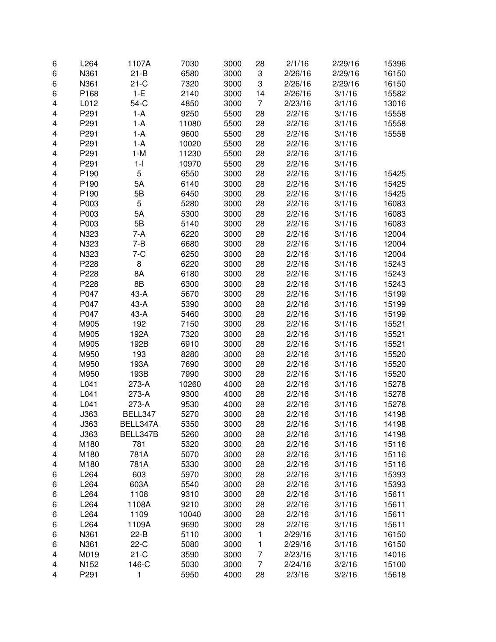| 6                       | L264 | 1107A    | 7030  | 3000 | 28             | 2/1/16  | 2/29/16          | 15396 |
|-------------------------|------|----------|-------|------|----------------|---------|------------------|-------|
| 6                       | N361 | $21-B$   | 6580  | 3000 | 3              | 2/26/16 | 2/29/16          | 16150 |
| 6                       | N361 | $21-C$   | 7320  | 3000 | 3              | 2/26/16 | 2/29/16          | 16150 |
| 6                       | P168 | $1-E$    | 2140  | 3000 | 14             | 2/26/16 | 3/1/16           | 15582 |
| $\overline{\mathbf{4}}$ | L012 | 54-C     | 4850  | 3000 | $\overline{7}$ | 2/23/16 | 3/1/16           | 13016 |
| 4                       | P291 | 1-A      | 9250  | 5500 | 28             | 2/2/16  | 3/1/16           | 15558 |
| 4                       | P291 | 1-A      | 11080 | 5500 | 28             | 2/2/16  | 3/1/16           | 15558 |
| 4                       | P291 | 1-A      | 9600  | 5500 | 28             | 2/2/16  | 3/1/16           | 15558 |
| 4                       | P291 | 1-A      | 10020 | 5500 | 28             | 2/2/16  | 3/1/16           |       |
| 4                       | P291 | $1-M$    | 11230 | 5500 | 28             | 2/2/16  | 3/1/16           |       |
| 4                       | P291 | $1 - 1$  | 10970 | 5500 | 28             | 2/2/16  | 3/1/16           |       |
| 4                       | P190 | 5        | 6550  | 3000 | 28             | 2/2/16  | 3/1/16           | 15425 |
|                         |      |          |       |      |                |         |                  |       |
| 4                       | P190 | 5A       | 6140  | 3000 | 28             | 2/2/16  | 3/1/16           | 15425 |
| 4                       | P190 | 5B       | 6450  | 3000 | 28             | 2/2/16  | 3/1/16           | 15425 |
| 4                       | P003 | 5        | 5280  | 3000 | 28             | 2/2/16  | 3/1/16           | 16083 |
| $\overline{\mathbf{4}}$ | P003 | 5A       | 5300  | 3000 | 28             | 2/2/16  | 3/1/16           | 16083 |
| 4                       | P003 | 5B       | 5140  | 3000 | 28             | 2/2/16  | 3/1/16           | 16083 |
| 4                       | N323 | $7-A$    | 6220  | 3000 | 28             | 2/2/16  | 3/1/16           | 12004 |
| 4                       | N323 | $7 - B$  | 6680  | 3000 | 28             | 2/2/16  | 3/1/16           | 12004 |
| 4                       | N323 | $7-C$    | 6250  | 3000 | 28             | 2/2/16  | 3/1/16           | 12004 |
| 4                       | P228 | 8        | 6220  | 3000 | 28             | 2/2/16  | 3/1/16           | 15243 |
| 4                       | P228 | 8A       | 6180  | 3000 | 28             | 2/2/16  | 3/1/16           | 15243 |
| 4                       | P228 | 8B       | 6300  | 3000 | 28             | 2/2/16  | 3/1/16           | 15243 |
| 4                       | P047 | 43-A     | 5670  | 3000 | 28             | 2/2/16  | 3/1/16           | 15199 |
| 4                       | P047 | 43-A     | 5390  | 3000 | 28             | 2/2/16  | 3/1/16           | 15199 |
| 4                       | P047 | 43-A     | 5460  | 3000 | 28             | 2/2/16  | 3/1/16           | 15199 |
| $\overline{\mathbf{4}}$ | M905 | 192      | 7150  | 3000 | 28             | 2/2/16  | 3/1/16           | 15521 |
| $\overline{\mathbf{4}}$ | M905 | 192A     | 7320  | 3000 | 28             | 2/2/16  | 3/1/16           | 15521 |
| $\overline{\mathbf{4}}$ | M905 | 192B     | 6910  | 3000 | 28             | 2/2/16  | 3/1/16           | 15521 |
| 4                       | M950 | 193      | 8280  | 3000 | 28             | 2/2/16  | 3/1/16           | 15520 |
| 4                       | M950 | 193A     | 7690  | 3000 | 28             | 2/2/16  | 3/1/16           | 15520 |
| 4                       | M950 | 193B     | 7990  | 3000 | 28             | 2/2/16  | 3/1/16           | 15520 |
| $\overline{\mathbf{4}}$ | L041 | 273-A    | 10260 | 4000 | 28             | 2/2/16  | 3/1/16           | 15278 |
| 4                       | L041 | 273-A    | 9300  | 4000 | 28             | 2/2/16  | 3/1/16           | 15278 |
| 4                       | L041 | 273-A    | 9530  | 4000 | 28             | 2/2/16  | 3/1/16           | 15278 |
| 4                       | J363 | BELL347  | 5270  | 3000 | 28             | 2/2/16  | 3/1/16           | 14198 |
| 4                       | J363 | BELL347A | 5350  | 3000 | 28             | 2/2/16  | 3/1/16           | 14198 |
| 4                       | J363 | BELL347B | 5260  | 3000 | 28             | 2/2/16  | 3/1/16           | 14198 |
| 4                       | M180 | 781      | 5320  | 3000 | 28             | 2/2/16  | 3/1/16           | 15116 |
| 4                       | M180 | 781A     | 5070  | 3000 | 28             | 2/2/16  | 3/1/16           | 15116 |
| 4                       | M180 | 781A     | 5330  | 3000 | 28             | 2/2/16  | 3/1/16           | 15116 |
| 6                       | L264 | 603      | 5970  | 3000 | 28             | 2/2/16  | 3/1/16           | 15393 |
| 6                       | L264 | 603A     | 5540  | 3000 | 28             | 2/2/16  | 3/1/16           | 15393 |
| 6                       | L264 | 1108     | 9310  | 3000 | 28             | 2/2/16  | 3/1/16           | 15611 |
| 6                       | L264 | 1108A    | 9210  | 3000 | 28             | 2/2/16  | 3/1/16           | 15611 |
| 6                       | L264 | 1109     | 10040 | 3000 | 28             | 2/2/16  | 3/1/16           | 15611 |
|                         | L264 | 1109A    | 9690  | 3000 | 28             | 2/2/16  |                  | 15611 |
| 6                       | N361 | $22-B$   | 5110  | 3000 | $\mathbf{1}$   | 2/29/16 | 3/1/16<br>3/1/16 | 16150 |
| 6                       |      |          |       |      |                |         |                  |       |
| 6                       | N361 | $22-C$   | 5080  | 3000 | 1              | 2/29/16 | 3/1/16           | 16150 |
| 4                       | M019 | $21-C$   | 3590  | 3000 | 7              | 2/23/16 | 3/1/16           | 14016 |
| 4                       | N152 | 146-C    | 5030  | 3000 | $\overline{7}$ | 2/24/16 | 3/2/16           | 15100 |
| 4                       | P291 | 1        | 5950  | 4000 | 28             | 2/3/16  | 3/2/16           | 15618 |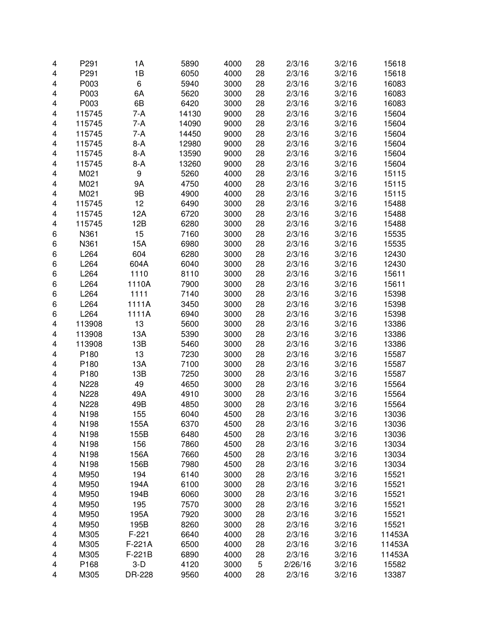| 4                       | P291             | 1A       | 5890  | 4000 | 28 | 2/3/16  | 3/2/16 | 15618  |
|-------------------------|------------------|----------|-------|------|----|---------|--------|--------|
| 4                       | P291             | 1B       | 6050  | 4000 | 28 | 2/3/16  | 3/2/16 | 15618  |
| 4                       | P003             | 6        | 5940  | 3000 | 28 | 2/3/16  | 3/2/16 | 16083  |
| 4                       | P003             | 6A       | 5620  | 3000 | 28 | 2/3/16  | 3/2/16 | 16083  |
| 4                       | P003             | 6B       | 6420  | 3000 | 28 | 2/3/16  | 3/2/16 | 16083  |
| 4                       | 115745           | 7-A      | 14130 | 9000 | 28 | 2/3/16  | 3/2/16 | 15604  |
| 4                       | 115745           | 7-A      | 14090 | 9000 | 28 | 2/3/16  | 3/2/16 | 15604  |
| 4                       | 115745           | 7-A      | 14450 | 9000 | 28 | 2/3/16  | 3/2/16 | 15604  |
| 4                       | 115745           | $8-A$    | 12980 | 9000 | 28 | 2/3/16  | 3/2/16 | 15604  |
| 4                       | 115745           | $8-A$    | 13590 | 9000 | 28 | 2/3/16  | 3/2/16 | 15604  |
| 4                       | 115745           | $8-A$    | 13260 | 9000 | 28 | 2/3/16  | 3/2/16 | 15604  |
| 4                       | M021             | 9        | 5260  | 4000 | 28 | 2/3/16  | 3/2/16 | 15115  |
| 4                       | M021             | 9Α       | 4750  | 4000 | 28 | 2/3/16  | 3/2/16 | 15115  |
| 4                       | M021             | 9B       | 4900  | 4000 | 28 | 2/3/16  | 3/2/16 | 15115  |
| 4                       | 115745           | 12       | 6490  | 3000 | 28 | 2/3/16  | 3/2/16 | 15488  |
| 4                       | 115745           | 12A      | 6720  | 3000 | 28 | 2/3/16  | 3/2/16 | 15488  |
| 4                       | 115745           | 12B      | 6280  | 3000 | 28 | 2/3/16  | 3/2/16 | 15488  |
| 6                       | N361             | 15       | 7160  | 3000 | 28 | 2/3/16  | 3/2/16 | 15535  |
| 6                       | N361             | 15A      | 6980  | 3000 | 28 | 2/3/16  | 3/2/16 | 15535  |
| 6                       | L264             | 604      | 6280  | 3000 | 28 | 2/3/16  | 3/2/16 | 12430  |
| 6                       | L264             | 604A     | 6040  | 3000 | 28 | 2/3/16  | 3/2/16 | 12430  |
| 6                       | L264             | 1110     | 8110  | 3000 | 28 | 2/3/16  | 3/2/16 | 15611  |
| 6                       | L264             | 1110A    | 7900  | 3000 | 28 | 2/3/16  | 3/2/16 | 15611  |
| 6                       | L264             | 1111     | 7140  | 3000 | 28 | 2/3/16  | 3/2/16 | 15398  |
| 6                       | L264             | 1111A    | 3450  | 3000 | 28 | 2/3/16  | 3/2/16 | 15398  |
| 6                       | L264             | 1111A    | 6940  | 3000 | 28 | 2/3/16  | 3/2/16 | 15398  |
| 4                       | 113908           | 13       | 5600  | 3000 | 28 | 2/3/16  | 3/2/16 | 13386  |
| 4                       | 113908           | 13A      | 5390  | 3000 | 28 | 2/3/16  | 3/2/16 | 13386  |
| 4                       | 113908           | 13B      | 5460  | 3000 | 28 | 2/3/16  | 3/2/16 | 13386  |
| 4                       | P180             | 13       | 7230  | 3000 | 28 | 2/3/16  | 3/2/16 | 15587  |
| 4                       | P180             | 13A      | 7100  | 3000 | 28 | 2/3/16  | 3/2/16 |        |
| 4                       | P180             | 13B      | 7250  | 3000 | 28 | 2/3/16  | 3/2/16 | 15587  |
| $\overline{\mathbf{4}}$ | N228             | 49       | 4650  | 3000 | 28 | 2/3/16  | 3/2/16 | 15587  |
| 4                       |                  | 49A      | 4910  | 3000 | 28 |         | 3/2/16 | 15564  |
|                         | N228             |          |       |      |    | 2/3/16  |        | 15564  |
| 4                       | N228             | 49B      | 4850  | 3000 | 28 | 2/3/16  | 3/2/16 | 15564  |
| 4                       | N198             | 155      | 6040  | 4500 | 28 | 2/3/16  | 3/2/16 | 13036  |
| 4                       | N <sub>198</sub> | 155A     | 6370  | 4500 | 28 | 2/3/16  | 3/2/16 | 13036  |
| 4                       | N198             | 155B     | 6480  | 4500 | 28 | 2/3/16  | 3/2/16 | 13036  |
| 4                       | N198             | 156      | 7860  | 4500 | 28 | 2/3/16  | 3/2/16 | 13034  |
| 4                       | N198             | 156A     | 7660  | 4500 | 28 | 2/3/16  | 3/2/16 | 13034  |
| 4                       | N198             | 156B     | 7980  | 4500 | 28 | 2/3/16  | 3/2/16 | 13034  |
| 4                       | M950             | 194      | 6140  | 3000 | 28 | 2/3/16  | 3/2/16 | 15521  |
| 4                       | M950             | 194A     | 6100  | 3000 | 28 | 2/3/16  | 3/2/16 | 15521  |
| 4                       | M950             | 194B     | 6060  | 3000 | 28 | 2/3/16  | 3/2/16 | 15521  |
| 4                       | M950             | 195      | 7570  | 3000 | 28 | 2/3/16  | 3/2/16 | 15521  |
| 4                       | M950             | 195A     | 7920  | 3000 | 28 | 2/3/16  | 3/2/16 | 15521  |
| 4                       | M950             | 195B     | 8260  | 3000 | 28 | 2/3/16  | 3/2/16 | 15521  |
| 4                       | M305             | $F-221$  | 6640  | 4000 | 28 | 2/3/16  | 3/2/16 | 11453A |
| 4                       | M305             | $F-221A$ | 6500  | 4000 | 28 | 2/3/16  | 3/2/16 | 11453A |
| 4                       | M305             | F-221B   | 6890  | 4000 | 28 | 2/3/16  | 3/2/16 | 11453A |
| 4                       | P168             | $3-D$    | 4120  | 3000 | 5  | 2/26/16 | 3/2/16 | 15582  |
| 4                       | M305             | DR-228   | 9560  | 4000 | 28 | 2/3/16  | 3/2/16 | 13387  |